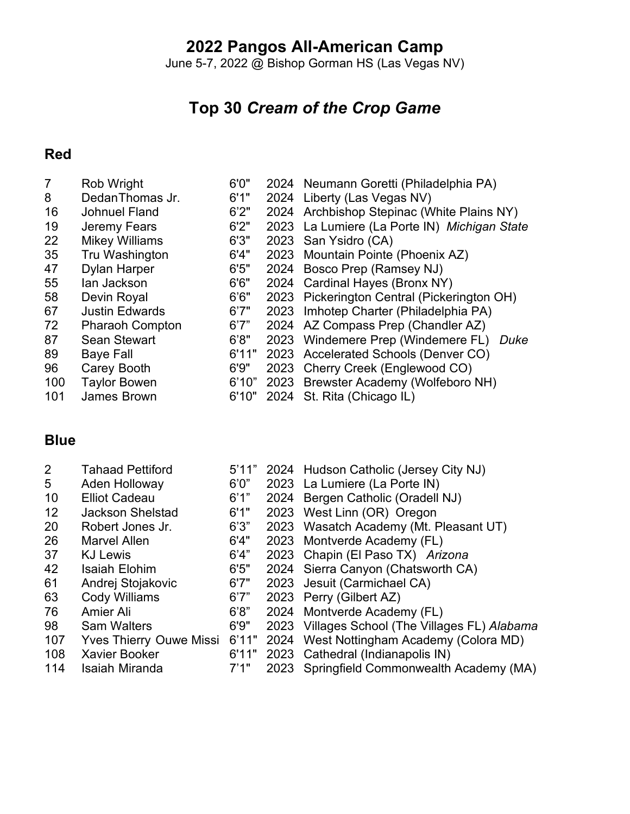### **Pangos All-American Camp**

June 5-7, 2022 @ Bishop Gorman HS (Las Vegas NV)

## **Top 30** *Cream of the Crop Game*

#### **Red**

| Rob Wright             | 6'0'' | 2024 Neumann Goretti (Philadelphia PA)       |
|------------------------|-------|----------------------------------------------|
| DedanThomas Jr.        | 6'1"  | 2024 Liberty (Las Vegas NV)                  |
| <b>Johnuel Fland</b>   | 6'2"  | 2024 Archbishop Stepinac (White Plains NY)   |
| Jeremy Fears           | 6'2"  | 2023 La Lumiere (La Porte IN) Michigan State |
| <b>Mikey Williams</b>  | 6'3'' | 2023 San Ysidro (CA)                         |
| Tru Washington         | 6'4"  | 2023 Mountain Pointe (Phoenix AZ)            |
| <b>Dylan Harper</b>    | 6'5"  | 2024 Bosco Prep (Ramsey NJ)                  |
| lan Jackson            | 6'6"  | 2024 Cardinal Hayes (Bronx NY)               |
| Devin Royal            | 6'6"  | 2023 Pickerington Central (Pickerington OH)  |
| <b>Justin Edwards</b>  | 6'7"  | 2023 Imhotep Charter (Philadelphia PA)       |
| <b>Pharaoh Compton</b> | 6'7"  | 2024 AZ Compass Prep (Chandler AZ)           |
| <b>Sean Stewart</b>    | 6'8"  | 2023 Windemere Prep (Windemere FL)<br>Duke   |
| <b>Baye Fall</b>       | 6'11" | 2023 Accelerated Schools (Denver CO)         |
| Carey Booth            | 6'9"  | 2023 Cherry Creek (Englewood CO)             |
| <b>Taylor Bowen</b>    | 6'10" | 2023 Brewster Academy (Wolfeboro NH)         |
| James Brown            | 6'10" | 2024 St. Rita (Chicago IL)                   |
|                        |       |                                              |

#### **Blue**

| 2               | <b>Tahaad Pettiford</b>       |       | 5'11" 2024 Hudson Catholic (Jersey City NJ)    |
|-----------------|-------------------------------|-------|------------------------------------------------|
| 5               | Aden Holloway                 | 6'0"  | 2023 La Lumiere (La Porte IN)                  |
| 10              | <b>Elliot Cadeau</b>          | 6'1"  | 2024 Bergen Catholic (Oradell NJ)              |
| 12 <sup>°</sup> | <b>Jackson Shelstad</b>       | 6'1"  | 2023 West Linn (OR) Oregon                     |
| 20              | Robert Jones Jr.              | 6'3"  | 2023 Wasatch Academy (Mt. Pleasant UT)         |
| 26              | <b>Marvel Allen</b>           | 6'4"  | 2023 Montverde Academy (FL)                    |
| 37              | <b>KJ Lewis</b>               | 6'4"  | 2023 Chapin (El Paso TX) Arizona               |
| 42              | <b>Isaiah Elohim</b>          | 6'5"  | 2024 Sierra Canyon (Chatsworth CA)             |
| 61              | Andrej Stojakovic             | 6'7"  | 2023 Jesuit (Carmichael CA)                    |
| 63              | Cody Williams                 | 6'7"  | 2023 Perry (Gilbert AZ)                        |
| 76              | Amier Ali                     | 6'8"  | 2024 Montverde Academy (FL)                    |
| 98              | <b>Sam Walters</b>            | 6'9"  | 2023 Villages School (The Villages FL) Alabama |
| 107             | Yves Thierry Ouwe Missi 6'11" |       | 2024 West Nottingham Academy (Colora MD)       |
| 108             | <b>Xavier Booker</b>          | 6'11" | 2023 Cathedral (Indianapolis IN)               |
| 114             | <b>Isaiah Miranda</b>         | 7'1"  | 2023 Springfield Commonwealth Academy (MA)     |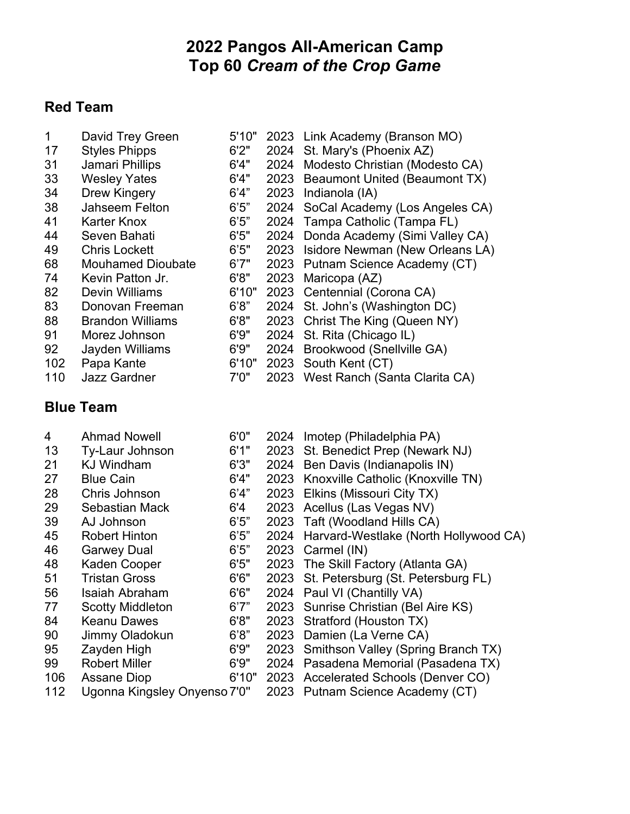## **Pangos All-American Camp Top 60** *Cream of the Crop Game*

### **Red Team**

| 1   | David Trey Green         | 5'10" |      | 2023 Link Academy (Branson MO)       |
|-----|--------------------------|-------|------|--------------------------------------|
| 17  | <b>Styles Phipps</b>     | 6'2"  | 2024 | St. Mary's (Phoenix AZ)              |
| 31  | Jamari Phillips          | 6'4"  |      | 2024 Modesto Christian (Modesto CA)  |
| 33  | <b>Wesley Yates</b>      | 6'4"  |      | 2023 Beaumont United (Beaumont TX)   |
| 34  | Drew Kingery             | 6'4"  | 2023 | Indianola (IA)                       |
| 38  | Jahseem Felton           | 6'5"  |      | 2024 SoCal Academy (Los Angeles CA)  |
| 41  | Karter Knox              | 6'5"  | 2024 | Tampa Catholic (Tampa FL)            |
| 44  | Seven Bahati             | 6'5"  |      | 2024 Donda Academy (Simi Valley CA)  |
| 49  | <b>Chris Lockett</b>     | 6'5"  |      | 2023 Isidore Newman (New Orleans LA) |
| 68  | <b>Mouhamed Dioubate</b> | 6'7"  |      | 2023 Putnam Science Academy (CT)     |
| 74  | Kevin Patton Jr.         | 6'8"  | 2023 | Maricopa (AZ)                        |
| 82  | Devin Williams           | 6'10" |      | 2023 Centennial (Corona CA)          |
| 83  | Donovan Freeman          | 6'8"  | 2024 | St. John's (Washington DC)           |
| 88  | <b>Brandon Williams</b>  | 6'8"  |      | 2023 Christ The King (Queen NY)      |
| 91  | Morez Johnson            | 6'9'' |      | 2024 St. Rita (Chicago IL)           |
| 92  | Jayden Williams          | 6'9'' |      | 2024 Brookwood (Snellville GA)       |
| 102 | Papa Kante               | 6'10" |      | 2023 South Kent (CT)                 |
| 110 | <b>Jazz Gardner</b>      | 7'0'' |      | 2023 West Ranch (Santa Clarita CA)   |

#### **Blue Team**

| 4   | <b>Ahmad Nowell</b>          | 6'0'' | 2024 | Imotep (Philadelphia PA)                |
|-----|------------------------------|-------|------|-----------------------------------------|
| 13  | Ty-Laur Johnson              | 6'1"  |      | 2023 St. Benedict Prep (Newark NJ)      |
| 21  | <b>KJ Windham</b>            | 6'3'' |      | 2024 Ben Davis (Indianapolis IN)        |
| 27  | <b>Blue Cain</b>             | 6'4"  |      | 2023 Knoxville Catholic (Knoxville TN)  |
| 28  | Chris Johnson                | 6'4"  | 2023 | Elkins (Missouri City TX)               |
| 29  | Sebastian Mack               | 6'4   | 2023 | Acellus (Las Vegas NV)                  |
| 39  | AJ Johnson                   | 6'5"  | 2023 | Taft (Woodland Hills CA)                |
| 45  | <b>Robert Hinton</b>         | 6'5"  | 2024 | Harvard-Westlake (North Hollywood CA)   |
| 46  | <b>Garwey Dual</b>           | 6'5"  |      | 2023 Carmel (IN)                        |
| 48  | Kaden Cooper                 | 6'5"  |      | 2023 The Skill Factory (Atlanta GA)     |
| 51  | <b>Tristan Gross</b>         | 6'6"  |      | 2023 St. Petersburg (St. Petersburg FL) |
| 56  | Isaiah Abraham               | 6'6"  | 2024 | Paul VI (Chantilly VA)                  |
| 77  | <b>Scotty Middleton</b>      | 6'7"  |      | 2023 Sunrise Christian (Bel Aire KS)    |
| 84  | <b>Keanu Dawes</b>           | 6'8"  | 2023 | Stratford (Houston TX)                  |
| 90  | Jimmy Oladokun               | 6'8"  | 2023 | Damien (La Verne CA)                    |
| 95  | Zayden High                  | 6'9'' | 2023 | Smithson Valley (Spring Branch TX)      |
| 99  | <b>Robert Miller</b>         | 6'9'' | 2024 | Pasadena Memorial (Pasadena TX)         |
| 106 | <b>Assane Diop</b>           | 6'10" |      | 2023 Accelerated Schools (Denver CO)    |
| 112 | Ugonna Kingsley Onyenso 7'0" |       |      | 2023 Putnam Science Academy (CT)        |